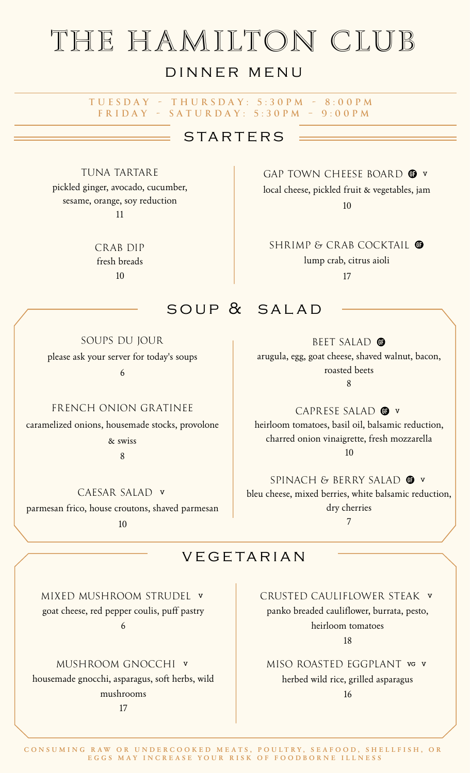# the hamilton club

# DINNER MENU

#### TUESDAY - THURSDAY: 5:30PM - 8:00PM  $FRIDAY - SATURDAY: 5:30PM - 9:00PM$

# **STARTERS**

TUNA TARTARE pickled ginger, avocado, cucumber, sesame, orange, soy reduction 11

> CRAB DIP fresh breads 10

GAP TOWN CHEESE BOARD <sup>o</sup> local cheese, pickled fruit & vegetables, jam 10

SHRIMP & CRAB COCKTAIL <sup>O</sup> lump crab, citrus aioli

17

# SOUP & SALAD

SOUPS DU JOUR please ask your server for today's soups

6

#### FRENCH ONION GRATINEE

caramelized onions, housemade stocks, provolone

& swiss

8

CAESAR SALAD parmesan frico, house croutons, shaved parmesan

10

## BEET SALAD<sup>O</sup> arugula, egg, goat cheese, shaved walnut, bacon, roasted beets 8

CAPRESE SALAD <sup>O</sup> heirloom tomatoes, basil oil, balsamic reduction, charred onion vinaigrette, fresh mozzarella 10

SPINACH & BERRY SALAD <sup>O</sup> bleu cheese, mixed berries, white balsamic reduction, dry cherries 7

## **VEGETARIAN**

MIXED MUSHROOM STRUDEL goat cheese, red pepper coulis, puff pastry 6

## MUSHROOM GNOCCHI

housemade gnocchi, asparagus, soft herbs, wild mushrooms

17

CRUSTED CAULIFLOWER STEAK panko breaded cauliflower, burrata, pesto, heirloom tomatoes

18

MISO ROASTED EGGPLANT VG V herbed wild rice, grilled asparagus 16